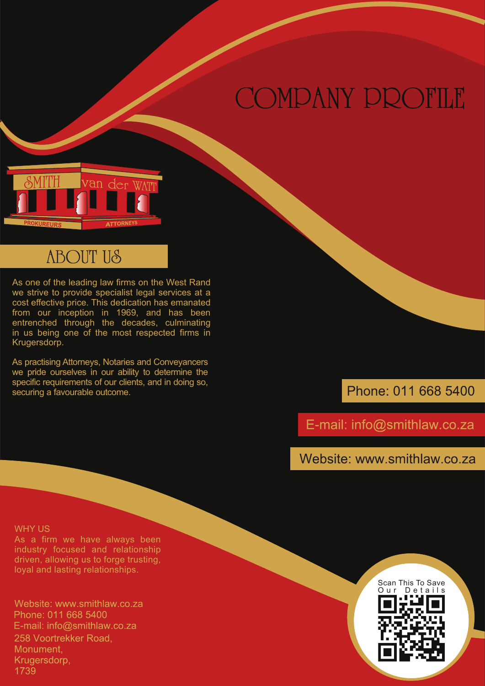# COMPANY PROFILE



# **ABOUT US**

As one of the leading law firms on the West Rand we strive to provide specialist legal services at a cost effective price. This dedication has emanated from our inception in 1969, and has been entrenched through the decades, culminating in us being one of the most respected firms in Krugersdorp.

As practising Attorneys, Notaries and Conveyancers we pride ourselves in our ability to determine the specific requirements of our clients, and in doing so, securing a favourable outcome.

Phone: 011 668 5400

E-mail: info@smithlaw.co.za

Website: www.smithlaw.co.za

#### WHY US

As a firm we have always been industry focused and relationship driven, allowing us to forge trusting, loyal and lasting relationships.

Website: www.smithlaw.co.za Phone: 011 668 5400 E-mail: info@smithlaw.co.za 258 Voortrekker Road. Monument. Krugersdorp, 1739

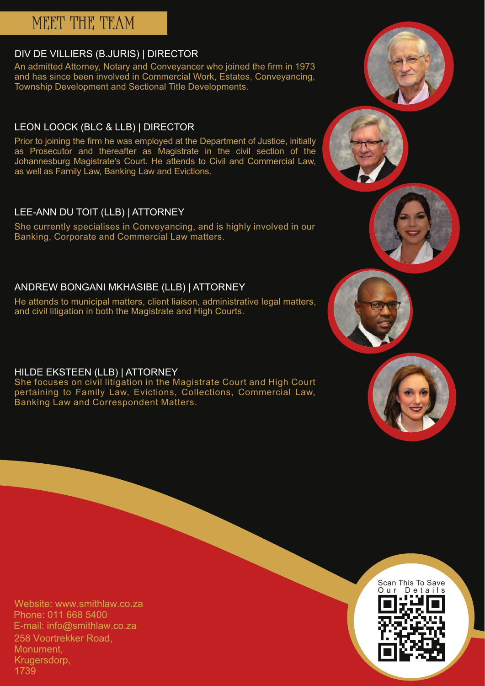# MEET THE TEAM

### DIV DE VILLIERS (B.JURIS) | DIRECTOR

An admitted Attorney, Notary and Conveyancer who joined the firm in 1973 and has since been involved in Commercial Work, Estates, Conveyancing, Township Development and Sectional Title Developments.

## LEON LOOCK (BLC & LLB) | DIRECTOR

Prior to joining the firm he was employed at the Department of Justice, initially as Prosecutor and thereafter as Magistrate in the civil section of the Johannesburg Magistrate's Court. He attends to Civil and Commercial Law, as well as Family Law, Banking Law and Evictions.

## LEE-ANN DU TOIT (LLB) | ATTORNEY

She currently specialises in Conveyancing, and is highly involved in our Banking, Corporate and Commercial Law matters.

### ANDREW BONGANI MKHASIBE (LLB) | ATTORNEY

He attends to municipal matters, client liaison, administrative legal matters, and civil litigation in both the Magistrate and High Courts.

HILDE EKSTEEN (LLB) | ATTORNEY

She focuses on civil litigation in the Magistrate Court and High Court pertaining to Family Law, Evictions, Collections, Commercial Law, Banking Law and Correspondent Matters.

Website: www.smithlaw.co.za Phone: 011 668 5400 E-mail: info@smithlaw.co.za 258 Voortrekker Road. Monument. Krugersdorp, 1739